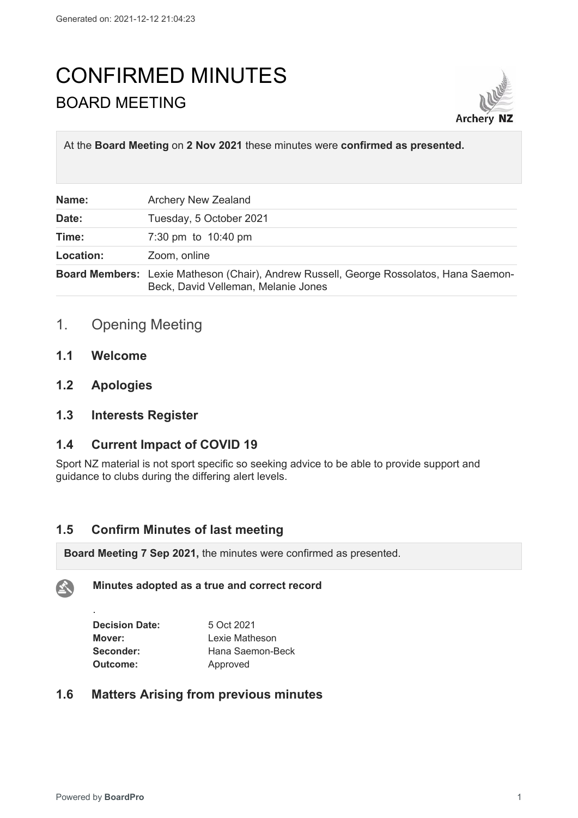# CONFIRMED MINUTES BOARD MEETING



At the **Board Meeting** on **2 Nov 2021** these minutes were **confirmed as presented.**

| Name:     | <b>Archery New Zealand</b>                                                                                                    |
|-----------|-------------------------------------------------------------------------------------------------------------------------------|
| Date:     | Tuesday, 5 October 2021                                                                                                       |
| Time:     | 7:30 pm to 10:40 pm                                                                                                           |
| Location: | Zoom, online                                                                                                                  |
|           | Board Members: Lexie Matheson (Chair), Andrew Russell, George Rossolatos, Hana Saemon-<br>Beck, David Velleman, Melanie Jones |

# 1. Opening Meeting

- **1.1 Welcome**
- **1.2 Apologies**

## **1.3 Interests Register**

#### **1.4 Current Impact of COVID 19**

Sport NZ material is not sport specific so seeking advice to be able to provide support and guidance to clubs during the differing alert levels.

#### **1.5 Confirm Minutes of last meeting**

**Board Meeting 7 Sep 2021,** the minutes were confirmed as presented.

#### **Minutes adopted as a true and correct record**

| <b>Decision Date:</b> | 5 Oct 2021       |
|-----------------------|------------------|
| Mover:                | Lexie Matheson   |
| Seconder:             | Hana Saemon-Beck |
| Outcome:              | Approved         |

#### **1.6 Matters Arising from previous minutes**

.

公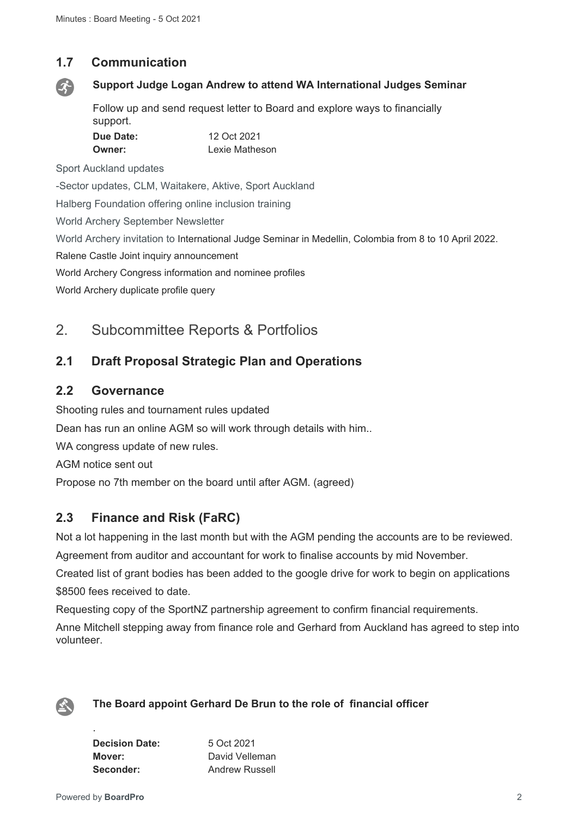## **1.7 Communication**



#### **Support Judge Logan Andrew to attend WA International Judges Seminar**

Follow up and send request letter to Board and explore ways to financially support. **Due Date:** 12 Oct 2021

| Lexie Matheson<br>Owner: |  |
|--------------------------|--|

Sport Auckland updates

-Sector updates, CLM, Waitakere, Aktive, Sport Auckland

Halberg Foundation offering online inclusion training

World Archery September Newsletter

World Archery invitation to International Judge Seminar in Medellin, Colombia from 8 to 10 April 2022.

Ralene Castle Joint inquiry announcement

World Archery Congress information and nominee profiles

World Archery duplicate profile query

# 2. Subcommittee Reports & Portfolios

## **2.1 Draft Proposal Strategic Plan and Operations**

#### **2.2 Governance**

Shooting rules and tournament rules updated Dean has run an online AGM so will work through details with him.. WA congress update of new rules. AGM notice sent out Propose no 7th member on the board until after AGM. (agreed)

# **2.3 Finance and Risk (FaRC)**

Not a lot happening in the last month but with the AGM pending the accounts are to be reviewed. Agreement from auditor and accountant for work to finalise accounts by mid November.

Created list of grant bodies has been added to the google drive for work to begin on applications \$8500 fees received to date

Requesting copy of the SportNZ partnership agreement to confirm financial requirements.

Anne Mitchell stepping away from finance role and Gerhard from Auckland has agreed to step into volunteer.



#### **The Board appoint Gerhard De Brun to the role of financial officer**

**Decision Date:** 5 Oct 2021 **Mover:** David Velleman **Seconder:** Andrew Russell

.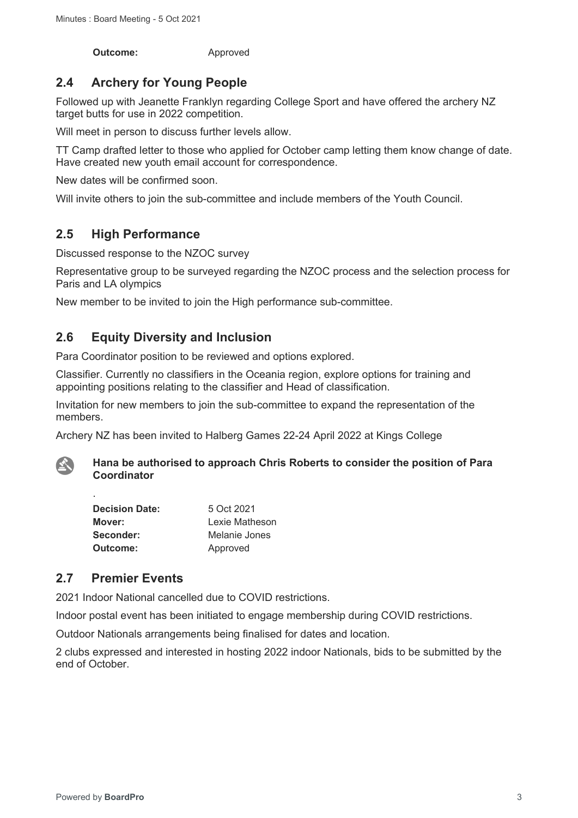**Outcome:** Approved

# **2.4 Archery for Young People**

Followed up with Jeanette Franklyn regarding College Sport and have offered the archery NZ target butts for use in 2022 competition.

Will meet in person to discuss further levels allow.

TT Camp drafted letter to those who applied for October camp letting them know change of date. Have created new youth email account for correspondence.

New dates will be confirmed soon.

Will invite others to join the sub-committee and include members of the Youth Council.

# **2.5 High Performance**

Discussed response to the NZOC survey

Representative group to be surveyed regarding the NZOC process and the selection process for Paris and LA olympics

New member to be invited to join the High performance sub-committee.

## **2.6 Equity Diversity and Inclusion**

Para Coordinator position to be reviewed and options explored.

Classifier. Currently no classifiers in the Oceania region, explore options for training and appointing positions relating to the classifier and Head of classification.

Invitation for new members to join the sub-committee to expand the representation of the members.

Archery NZ has been invited to Halberg Games 22-24 April 2022 at Kings College



.

**Hana be authorised to approach Chris Roberts to consider the position of Para Coordinator**

| <b>Decision Date:</b> | 5 Oct 2021     |
|-----------------------|----------------|
| Mover:                | Lexie Matheson |
| Seconder:             | Melanie Jones  |
| Outcome:              | Approved       |

## **2.7 Premier Events**

2021 Indoor National cancelled due to COVID restrictions.

Indoor postal event has been initiated to engage membership during COVID restrictions.

Outdoor Nationals arrangements being finalised for dates and location.

2 clubs expressed and interested in hosting 2022 indoor Nationals, bids to be submitted by the end of October.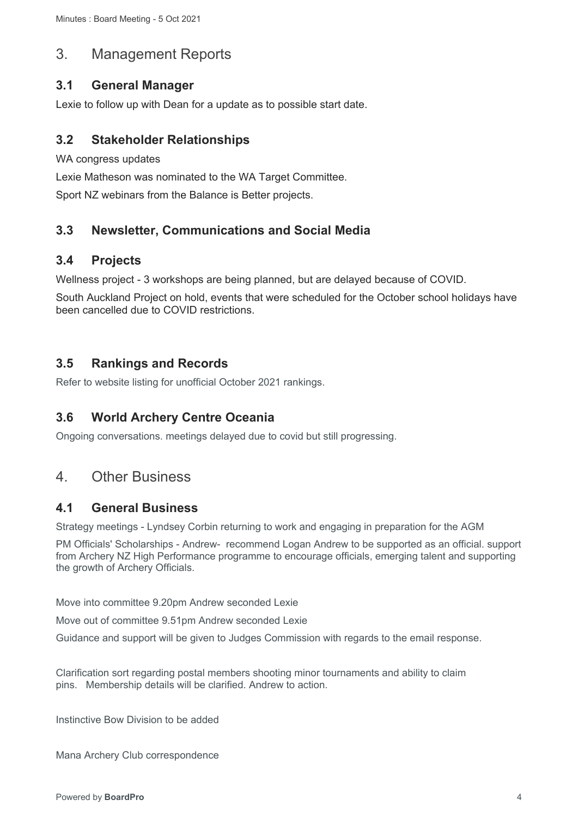# 3. Management Reports

## **3.1 General Manager**

Lexie to follow up with Dean for a update as to possible start date.

## **3.2 Stakeholder Relationships**

WA congress updates

Lexie Matheson was nominated to the WA Target Committee.

Sport NZ webinars from the Balance is Better projects.

# **3.3 Newsletter, Communications and Social Media**

## **3.4 Projects**

Wellness project - 3 workshops are being planned, but are delayed because of COVID.

South Auckland Project on hold, events that were scheduled for the October school holidays have been cancelled due to COVID restrictions.

## **3.5 Rankings and Records**

Refer to website listing for unofficial October 2021 rankings.

# **3.6 World Archery Centre Oceania**

Ongoing conversations. meetings delayed due to covid but still progressing.

# 4. Other Business

## **4.1 General Business**

Strategy meetings - Lyndsey Corbin returning to work and engaging in preparation for the AGM

PM Officials' Scholarships - Andrew- recommend Logan Andrew to be supported as an official. support from Archery NZ High Performance programme to encourage officials, emerging talent and supporting the growth of Archery Officials.

Move into committee 9.20pm Andrew seconded Lexie

Move out of committee 9.51pm Andrew seconded Lexie

Guidance and support will be given to Judges Commission with regards to the email response.

Clarification sort regarding postal members shooting minor tournaments and ability to claim pins. Membership details will be clarified. Andrew to action.

Instinctive Bow Division to be added

Mana Archery Club correspondence